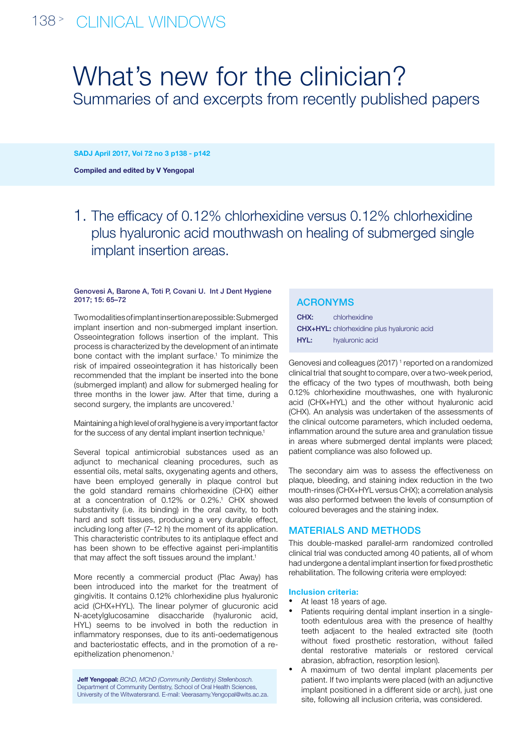# What's new for the clinician? Summaries of and excerpts from recently published papers

SADJ April 2017, Vol 72 no 3 p138 - p142

Compiled and edited by V Yengopal

1. The efficacy of 0.12% chlorhexidine versus 0.12% chlorhexidine plus hyaluronic acid mouthwash on healing of submerged single implant insertion areas.

#### Genovesi A, Barone A, Toti P, Covani U. Int J Dent Hygiene 2017; 15: 65–72

Two modalities of implant insertion are possible: Submerged implant insertion and non-submerged implant insertion. Osseointegration follows insertion of the implant. This process is characterized by the development of an intimate bone contact with the implant surface.<sup>1</sup> To minimize the risk of impaired osseointegration it has historically been recommended that the implant be inserted into the bone (submerged implant) and allow for submerged healing for three months in the lower jaw. After that time, during a second surgery, the implants are uncovered.<sup>1</sup>

Maintaining a high level of oral hygiene is a very important factor for the success of any dental implant insertion technique.<sup>1</sup>

Several topical antimicrobial substances used as an adjunct to mechanical cleaning procedures, such as essential oils, metal salts, oxygenating agents and others, have been employed generally in plaque control but the gold standard remains chlorhexidine (CHX) either at a concentration of 0.12% or 0.2%.<sup>1</sup> CHX showed substantivity (i.e. its binding) in the oral cavity, to both hard and soft tissues, producing a very durable effect, including long after (7–12 h) the moment of its application. This characteristic contributes to its antiplaque effect and has been shown to be effective against peri-implantitis that may affect the soft tissues around the implant.<sup>1</sup>

More recently a commercial product (Plac Away) has been introduced into the market for the treatment of gingivitis. It contains 0.12% chlorhexidine plus hyaluronic acid (CHX+HYL). The linear polymer of glucuronic acid N-acetylglucosamine disaccharide (hyaluronic acid, HYL) seems to be involved in both the reduction in inflammatory responses, due to its anti-oedematigenous and bacteriostatic effects, and in the promotion of a reepithelization phenomenon.<sup>1</sup>

Jeff Yengopal: *BChD, MChD (Community Dentistry) Stellenbosch.* Department of Community Dentistry, School of Oral Health Sciences, University of the Witwatersrand. E-mail: Veerasamy.Yengopal@wits.ac.za.

## ACRONYMs

| CHX: | chlorhexidine                                      |
|------|----------------------------------------------------|
|      | <b>CHX+HYL:</b> chlorhexidine plus hyaluronic acid |
| HYL: | hyaluronic acid                                    |

Genovesi and colleagues (2017)<sup>1</sup> reported on a randomized clinical trial that sought to compare, over a two-week period, the efficacy of the two types of mouthwash, both being 0.12% chlorhexidine mouthwashes, one with hyaluronic acid (CHX+HYL) and the other without hyaluronic acid (CHX). An analysis was undertaken of the assessments of the clinical outcome parameters, which included oedema, inflammation around the suture area and granulation tissue in areas where submerged dental implants were placed; patient compliance was also followed up.

The secondary aim was to assess the effectiveness on plaque, bleeding, and staining index reduction in the two mouth-rinses (CHX+HYL versus CHX); a correlation analysis was also performed between the levels of consumption of coloured beverages and the staining index.

## Materials and methods

This double-masked parallel-arm randomized controlled clinical trial was conducted among 40 patients, all of whom had undergone a dental implant insertion for fixed prosthetic rehabilitation. The following criteria were employed:

### Inclusion criteria:

- At least 18 years of age.
- Patients requiring dental implant insertion in a singletooth edentulous area with the presence of healthy teeth adjacent to the healed extracted site (tooth without fixed prosthetic restoration, without failed dental restorative materials or restored cervical abrasion, abfraction, resorption lesion).
- A maximum of two dental implant placements per patient. If two implants were placed (with an adjunctive implant positioned in a different side or arch), just one site, following all inclusion criteria, was considered.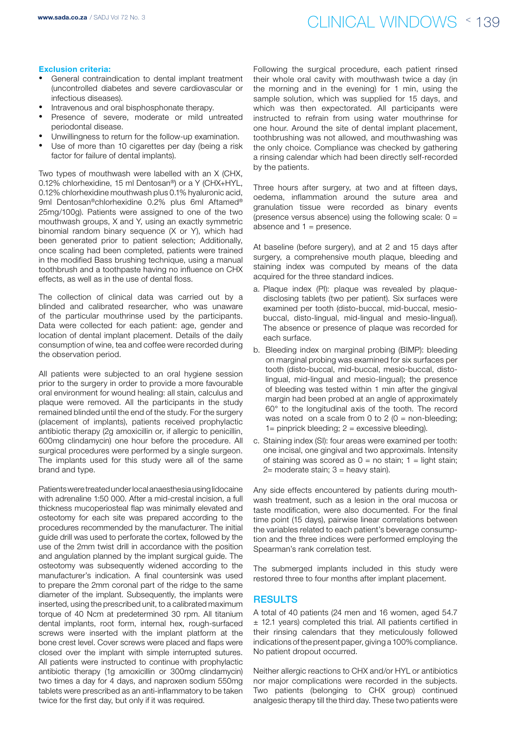## < 139 www.sada.co.za / SADJ Vol 72 No. 3 clinical windows

### Exclusion criteria:

- General contraindication to dental implant treatment (uncontrolled diabetes and severe cardiovascular or infectious diseases).
- Intravenous and oral bisphosphonate therapy.
- Presence of severe, moderate or mild untreated
- periodontal disease.
- Unwillingness to return for the follow-up examination. Use of more than 10 cigarettes per day (being a risk
- factor for failure of dental implants).

Two types of mouthwash were labelled with an X (CHX, 0.12% chlorhexidine, 15 ml Dentosan®) or a Y (CHX+HYL, 0.12% chlorhexidine mouthwash plus 0.1% hyaluronic acid, 9ml Dentosan®chlorhexidine 0.2% plus 6ml Aftamed® 25mg/100g). Patients were assigned to one of the two mouthwash groups, X and Y, using an exactly symmetric binomial random binary sequence (X or Y), which had been generated prior to patient selection; Additionally, once scaling had been completed, patients were trained in the modified Bass brushing technique, using a manual toothbrush and a toothpaste having no influence on CHX effects, as well as in the use of dental floss.

The collection of clinical data was carried out by a blinded and calibrated researcher, who was unaware of the particular mouthrinse used by the participants. Data were collected for each patient: age, gender and location of dental implant placement. Details of the daily consumption of wine, tea and coffee were recorded during the observation period.

All patients were subjected to an oral hygiene session prior to the surgery in order to provide a more favourable oral environment for wound healing: all stain, calculus and plaque were removed. All the participants in the study remained blinded until the end of the study. For the surgery (placement of implants), patients received prophylactic antibiotic therapy (2g amoxicillin or, if allergic to penicillin, 600mg clindamycin) one hour before the procedure. All surgical procedures were performed by a single surgeon. The implants used for this study were all of the same brand and type.

Patients were treated under local anaesthesia using lidocaine with adrenaline 1:50 000. After a mid-crestal incision, a full thickness mucoperiosteal flap was minimally elevated and osteotomy for each site was prepared according to the procedures recommended by the manufacturer. The initial guide drill was used to perforate the cortex, followed by the use of the 2mm twist drill in accordance with the position and angulation planned by the implant surgical guide. The osteotomy was subsequently widened according to the manufacturer's indication. A final countersink was used to prepare the 2mm coronal part of the ridge to the same diameter of the implant. Subsequently, the implants were inserted, using the prescribed unit, to a calibrated maximum torque of 40 Ncm at predetermined 30 rpm. All titanium dental implants, root form, internal hex, rough-surfaced screws were inserted with the implant platform at the bone crest level. Cover screws were placed and flaps were closed over the implant with simple interrupted sutures. All patients were instructed to continue with prophylactic antibiotic therapy (1g amoxicillin or 300mg clindamycin) two times a day for 4 days, and naproxen sodium 550mg tablets were prescribed as an anti-inflammatory to be taken twice for the first day, but only if it was required.

Following the surgical procedure, each patient rinsed their whole oral cavity with mouthwash twice a day (in the morning and in the evening) for 1 min, using the sample solution, which was supplied for 15 days, and which was then expectorated. All participants were instructed to refrain from using water mouthrinse for one hour. Around the site of dental implant placement, toothbrushing was not allowed, and mouthwashing was the only choice. Compliance was checked by gathering a rinsing calendar which had been directly self-recorded by the patients.

Three hours after surgery, at two and at fifteen days, oedema, inflammation around the suture area and granulation tissue were recorded as binary events (presence versus absence) using the following scale:  $0 =$ absence and  $1 =$  presence.

At baseline (before surgery), and at 2 and 15 days after surgery, a comprehensive mouth plaque, bleeding and staining index was computed by means of the data acquired for the three standard indices.

- a. Plaque index (PI): plaque was revealed by plaquedisclosing tablets (two per patient). Six surfaces were examined per tooth (disto-buccal, mid-buccal, mesiobuccal, disto-lingual, mid-lingual and mesio-lingual). The absence or presence of plaque was recorded for each surface.
- b. Bleeding index on marginal probing (BIMP): bleeding on marginal probing was examined for six surfaces per tooth (disto-buccal, mid-buccal, mesio-buccal, distolingual, mid-lingual and mesio-lingual); the presence of bleeding was tested within 1 min after the gingival margin had been probed at an angle of approximately 60° to the longitudinal axis of the tooth. The record was noted on a scale from 0 to 2  $(0 =$  non-bleeding;  $1=$  pinprick bleeding;  $2 =$  excessive bleeding).
- c. Staining index (SI): four areas were examined per tooth: one incisal, one gingival and two approximals. Intensity of staining was scored as  $0 =$  no stain;  $1 =$  light stain;  $2=$  moderate stain;  $3=$  heavy stain).

Any side effects encountered by patients during mouthwash treatment, such as a lesion in the oral mucosa or taste modification, were also documented. For the final time point (15 days), pairwise linear correlations between the variables related to each patient's beverage consumption and the three indices were performed employing the Spearman's rank correlation test.

The submerged implants included in this study were restored three to four months after implant placement.

### **RESULTS**

A total of 40 patients (24 men and 16 women, aged 54.7 ± 12.1 years) completed this trial. All patients certified in their rinsing calendars that they meticulously followed indications of the present paper, giving a 100% compliance. No patient dropout occurred.

Neither allergic reactions to CHX and/or HYL or antibiotics nor major complications were recorded in the subjects. Two patients (belonging to CHX group) continued analgesic therapy till the third day. These two patients were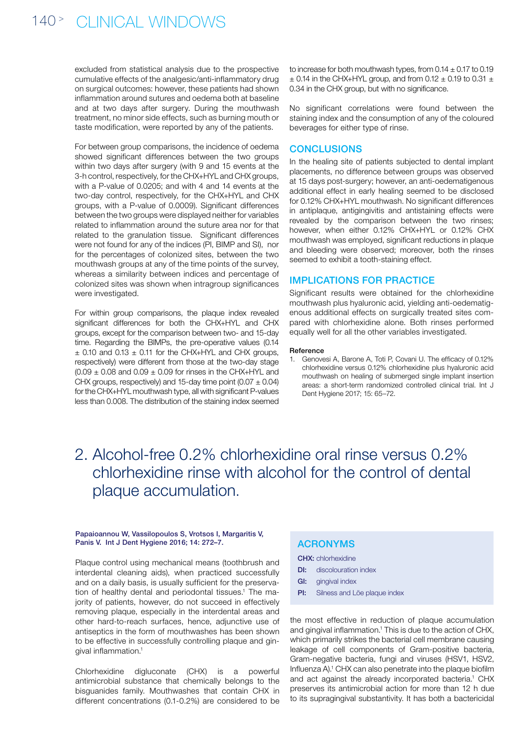## 140<sup>></sup> CLINICAL WINDOWS

excluded from statistical analysis due to the prospective cumulative effects of the analgesic/anti-inflammatory drug on surgical outcomes: however, these patients had shown inflammation around sutures and oedema both at baseline and at two days after surgery. During the mouthwash treatment, no minor side effects, such as burning mouth or taste modification, were reported by any of the patients.

For between group comparisons, the incidence of oedema showed significant differences between the two groups within two days after surgery (with 9 and 15 events at the 3-h control, respectively, for the CHX+HYL and CHX groups, with a P-value of 0.0205; and with 4 and 14 events at the two-day control, respectively, for the CHX+HYL and CHX groups, with a P-value of 0.0009). Significant differences between the two groups were displayed neither for variables related to inflammation around the suture area nor for that related to the granulation tissue. Significant differences were not found for any of the indices (PI, BIMP and SI), nor for the percentages of colonized sites, between the two mouthwash groups at any of the time points of the survey, whereas a similarity between indices and percentage of colonized sites was shown when intragroup significances were investigated.

For within group comparisons, the plaque index revealed significant differences for both the CHX+HYL and CHX groups, except for the comparison between two- and 15-day time. Regarding the BIMPs, the pre-operative values (0.14  $\pm$  0.10 and 0.13  $\pm$  0.11 for the CHX+HYL and CHX groups, respectively) were different from those at the two-day stage  $(0.09 \pm 0.08$  and  $0.09 \pm 0.09$  for rinses in the CHX+HYL and CHX groups, respectively) and 15-day time point  $(0.07 \pm 0.04)$ for the CHX+HYL mouthwash type, all with significant P-values less than 0.008. The distribution of the staining index seemed

to increase for both mouthwash types, from  $0.14 \pm 0.17$  to  $0.19$  $\pm$  0.14 in the CHX+HYL group, and from 0.12  $\pm$  0.19 to 0.31  $\pm$ 0.34 in the CHX group, but with no significance.

No significant correlations were found between the staining index and the consumption of any of the coloured beverages for either type of rinse.

### **CONCLUSIONS**

In the healing site of patients subjected to dental implant placements, no difference between groups was observed at 15 days post-surgery; however, an anti-oedematigenous additional effect in early healing seemed to be disclosed for 0.12% CHX+HYL mouthwash. No significant differences in antiplaque, antigingivitis and antistaining effects were revealed by the comparison between the two rinses; however, when either 0.12% CHX+HYL or 0.12% CHX mouthwash was employed, significant reductions in plaque and bleeding were observed; moreover, both the rinses seemed to exhibit a tooth-staining effect.

### Implications for practice

Significant results were obtained for the chlorhexidine mouthwash plus hyaluronic acid, yielding anti-oedematigenous additional effects on surgically treated sites compared with chlorhexidine alone. Both rinses performed equally well for all the other variables investigated.

#### Reference

1. Genovesi A, Barone A, Toti P, Covani U. The efficacy of 0.12% chlorhexidine versus 0.12% chlorhexidine plus hyaluronic acid mouthwash on healing of submerged single implant insertion areas: a short-term randomized controlled clinical trial. Int J Dent Hygiene 2017; 15: 65–72.

## 2. Alcohol-free 0.2% chlorhexidine oral rinse versus 0.2% chlorhexidine rinse with alcohol for the control of dental plaque accumulation.

#### Papaioannou W, Vassilopoulos S, Vrotsos I, Margaritis V, Panis V. Int J Dent Hygiene 2016; 14: 272–7.

Plaque control using mechanical means (toothbrush and interdental cleaning aids), when practiced successfully and on a daily basis, is usually sufficient for the preservation of healthy dental and periodontal tissues.<sup>1</sup> The majority of patients, however, do not succeed in effectively removing plaque, especially in the interdental areas and other hard-to-reach surfaces, hence, adjunctive use of antiseptics in the form of mouthwashes has been shown to be effective in successfully controlling plaque and gingival inflammation.1

Chlorhexidine digluconate (CHX) is a powerful antimicrobial substance that chemically belongs to the bisguanides family. Mouthwashes that contain CHX in different concentrations (0.1-0.2%) are considered to be

### ACRONYMs

CHX: chlorhexidine

- **DI:** discolouration index
- GI: gingival index
- PI: Silness and Löe plaque index

the most effective in reduction of plaque accumulation and gingival inflammation.<sup>1</sup> This is due to the action of CHX, which primarily strikes the bacterial cell membrane causing leakage of cell components of Gram-positive bacteria, Gram-negative bacteria, fungi and viruses (HSV1, HSV2, Influenza A).<sup>1</sup> CHX can also penetrate into the plaque biofilm and act against the already incorporated bacteria.<sup>1</sup> CHX preserves its antimicrobial action for more than 12 h due to its supragingival substantivity. It has both a bactericidal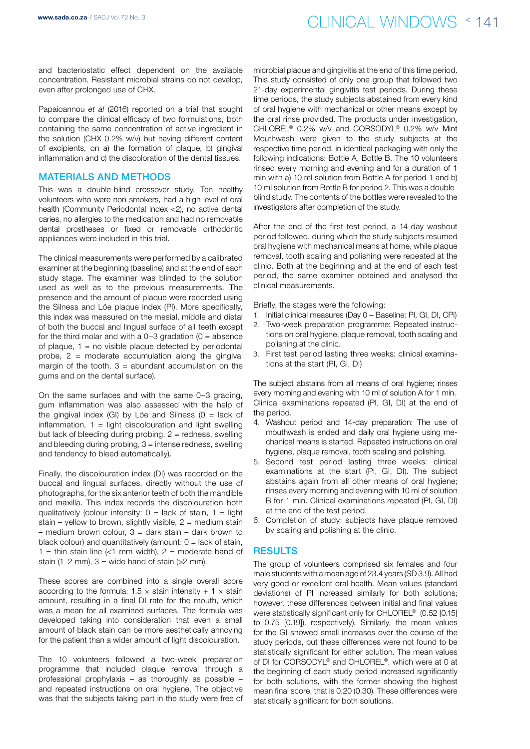and bacteriostatic effect dependent on the available concentration. Resistant microbial strains do not develop, even after prolonged use of CHX.

Papaioannou *et al* (2016) reported on a trial that sought to compare the clinical efficacy of two formulations, both containing the same concentration of active ingredient in the solution (CHX 0.2% w/v) but having different content of excipients, on a) the formation of plaque, b) gingival inflammation and c) the discoloration of the dental tissues.

### Materials and methods

This was a double-blind crossover study. Ten healthy volunteers who were non-smokers, had a high level of oral health (Community Periodontal Index <2), no active dental caries, no allergies to the medication and had no removable dental prostheses or fixed or removable orthodontic appliances were included in this trial.

The clinical measurements were performed by a calibrated examiner at the beginning (baseline) and at the end of each study stage. The examiner was blinded to the solution used as well as to the previous measurements. The presence and the amount of plaque were recorded using the Silness and Löe plaque index (PI). More specifically, this index was measured on the mesial, middle and distal of both the buccal and lingual surface of all teeth except for the third molar and with a  $0-3$  gradation  $(0 = ab\$ of plaque,  $1 = no$  visible plaque detected by periodontal probe,  $2$  = moderate accumulation along the gingival margin of the tooth,  $3 =$  abundant accumulation on the gums and on the dental surface).

On the same surfaces and with the same 0–3 grading, gum inflammation was also assessed with the help of the gingival index (GI) by Löe and Silness ( $0 =$  lack of inflammation,  $1 =$  light discolouration and light swelling but lack of bleeding during probing,  $2 =$  redness, swelling and bleeding during probing,  $3 =$  intense redness, swelling and tendency to bleed automatically).

Finally, the discolouration index (DI) was recorded on the buccal and lingual surfaces, directly without the use of photographs, for the six anterior teeth of both the mandible and maxilla. This index records the discolouration both qualitatively (colour intensity:  $0 =$  lack of stain,  $1 =$  light stain – yellow to brown, slightly visible,  $2 =$  medium stain – medium brown colour,  $3$  = dark stain – dark brown to black colour) and quantitatively (amount:  $0 =$  lack of stain, 1 = thin stain line  $\ll 1$  mm width), 2 = moderate band of stain (1–2 mm),  $3 =$  wide band of stain ( $>2$  mm).

These scores are combined into a single overall score according to the formula:  $1.5 \times$  stain intensity + 1  $\times$  stain amount, resulting in a final DI rate for the mouth, which was a mean for all examined surfaces. The formula was developed taking into consideration that even a small amount of black stain can be more aesthetically annoying for the patient than a wider amount of light discolouration.

The 10 volunteers followed a two-week preparation programme that included plaque removal through a professional prophylaxis – as thoroughly as possible – and repeated instructions on oral hygiene. The objective was that the subjects taking part in the study were free of

microbial plaque and gingivitis at the end of this time period. This study consisted of only one group that followed two 21-day experimental gingivitis test periods. During these time periods, the study subjects abstained from every kind of oral hygiene with mechanical or other means except by the oral rinse provided. The products under investigation, CHLOREL® 0.2% w/v and CORSODYL® 0.2% w/v Mint Mouthwash were given to the study subjects at the respective time period, in identical packaging with only the following indications: Bottle A, Bottle B. The 10 volunteers rinsed every morning and evening and for a duration of 1 min with a) 10 ml solution from Bottle A for period 1 and b) 10 ml solution from Bottle B for period 2. This was a doubleblind study. The contents of the bottles were revealed to the investigators after completion of the study.

After the end of the first test period, a 14-day washout period followed, during which the study subjects resumed oral hygiene with mechanical means at home, while plaque removal, tooth scaling and polishing were repeated at the clinic. Both at the beginning and at the end of each test period, the same examiner obtained and analysed the clinical measurements.

Briefly, the stages were the following:

- 1. Initial clinical measures (Day 0 Baseline: PI, GI, DI, CPI)
- 2. Two-week preparation programme: Repeated instructions on oral hygiene, plaque removal, tooth scaling and polishing at the clinic.
- 3. First test period lasting three weeks: clinical examinations at the start (PI, GI, DI)

The subject abstains from all means of oral hygiene; rinses every morning and evening with 10 ml of solution A for 1 min. Clinical examinations repeated (PI, GI, DI) at the end of the period.

- 4. Washout period and 14-day preparation: The use of mouthwash is ended and daily oral hygiene using mechanical means is started. Repeated instructions on oral hygiene, plaque removal, tooth scaling and polishing.
- 5. Second test period lasting three weeks: clinical examinations at the start (PI, GI, DI). The subject abstains again from all other means of oral hygiene; rinses every morning and evening with 10 ml of solution B for 1 min. Clinical examinations repeated (PI, GI, DI) at the end of the test period.
- 6. Completion of study: subjects have plaque removed by scaling and polishing at the clinic.

### **RESULTS**

The group of volunteers comprised six females and four male students with a mean age of 23.4 years (SD 3.9). All had very good or excellent oral health. Mean values (standard deviations) of PI increased similarly for both solutions; however, these differences between initial and final values were statistically significant only for CHLOREL® (0.52 [0.15] to 0.75 [0.19]), respectively). Similarly, the mean values for the GI showed small increases over the course of the study periods, but these differences were not found to be statistically significant for either solution. The mean values of DI for CORSODYL® and CHLOREL®, which were at 0 at the beginning of each study period increased significantly for both solutions, with the former showing the highest mean final score, that is 0.20 (0.30). These differences were statistically significant for both solutions.